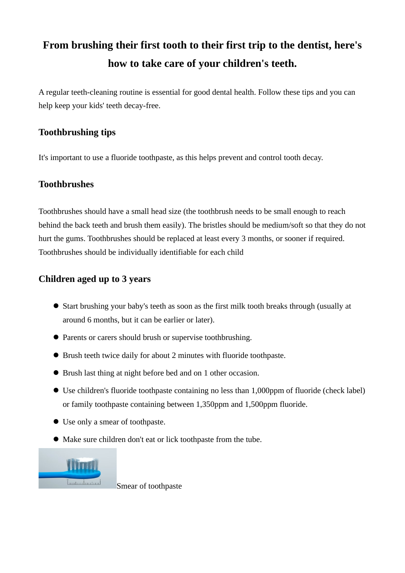# **From brushing their first tooth to their first trip to the dentist, here's how to take care of your children's teeth.**

A regular teeth-cleaning routine is essential for good dental health. Follow these tips and you can help keep your kids' teeth decay-free.

# **Toothbrushing tips**

It's important to use a fluoride toothpaste, as this helps prevent and control tooth decay.

## **Toothbrushes**

Toothbrushes should have a small head size (the toothbrush needs to be small enough to reach behind the back teeth and brush them easily). The bristles should be medium/soft so that they do not hurt the gums. Toothbrushes should be replaced at least every 3 months, or sooner if required. Toothbrushes should be individually identifiable for each child

## **Children aged up to 3 years**

- Start brushing your baby's teeth as soon as the first milk tooth breaks through (usually at around 6 months, but it can be earlier or later).
- Parents or carers should brush or supervise toothbrushing.
- Brush teeth twice daily for about 2 minutes with fluoride toothpaste.
- Brush last thing at night before bed and on 1 other occasion.
- Use children's fluoride toothpaste containing no less than 1,000ppm of fluoride (check label) or family toothpaste containing between 1,350ppm and 1,500ppm fluoride.
- Use only a smear of toothpaste.
- Make sure children don't eat or lick toothpaste from the tube.



Smear of toothpaste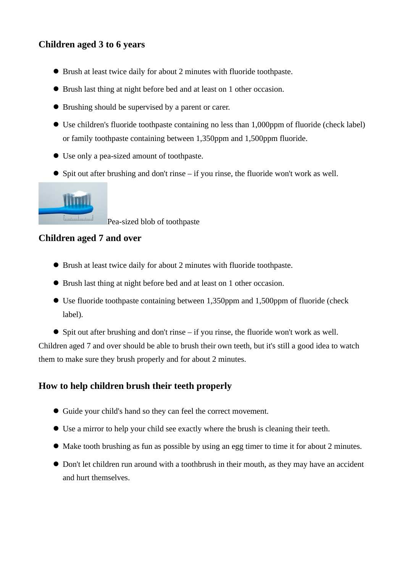# **Children aged 3 to 6 years**

- Brush at least twice daily for about 2 minutes with fluoride toothpaste.
- Brush last thing at night before bed and at least on 1 other occasion.
- Brushing should be supervised by a parent or carer.
- Use children's fluoride toothpaste containing no less than 1,000ppm of fluoride (check label) or family toothpaste containing between 1,350ppm and 1,500ppm fluoride.
- Use only a pea-sized amount of toothpaste.
- Spit out after brushing and don't rinse if you rinse, the fluoride won't work as well.



Pea-sized blob of toothpaste

## **Children aged 7 and over**

- Brush at least twice daily for about 2 minutes with fluoride toothpaste.
- Brush last thing at night before bed and at least on 1 other occasion.
- Use fluoride toothpaste containing between 1,350ppm and 1,500ppm of fluoride (check label).
- Spit out after brushing and don't rinse if you rinse, the fluoride won't work as well.

Children aged 7 and over should be able to brush their own teeth, but it's still a good idea to watch them to make sure they brush properly and for about 2 minutes.

#### **How to help children brush their teeth properly**

- Guide your child's hand so they can feel the correct movement.
- Use a mirror to help your child see exactly where the brush is cleaning their teeth.
- Make tooth brushing as fun as possible by using an egg timer to time it for about 2 minutes.
- Don't let children run around with a toothbrush in their mouth, as they may have an accident and hurt themselves.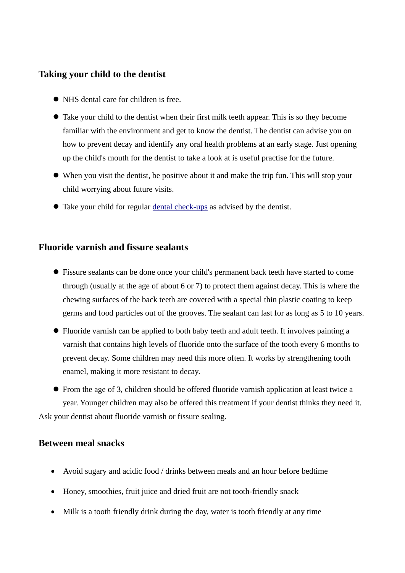#### **Taking your child to the dentist**

- NHS dental care for children is free.
- Take your child to the dentist when their first milk teeth appear. This is so they become familiar with the environment and get to know the dentist. The dentist can advise you on how to prevent decay and identify any oral health problems at an early stage. Just opening up the child's mouth for the dentist to take a look at is useful practise for the future.
- When you visit the dentist, be positive about it and make the trip fun. This will stop your child worrying about future visits.
- Take your child for regular [dental check-ups](https://www.nhs.uk/live-well/healthy-body/dental-check-ups/) as advised by the dentist.

#### **Fluoride varnish and fissure sealants**

- Fissure sealants can be done once your child's permanent back teeth have started to come through (usually at the age of about 6 or 7) to protect them against decay. This is where the chewing surfaces of the back teeth are covered with a special thin plastic coating to keep germs and food particles out of the grooves. The sealant can last for as long as 5 to 10 years.
- Fluoride varnish can be applied to both baby teeth and adult teeth. It involves painting a varnish that contains high levels of fluoride onto the surface of the tooth every 6 months to prevent decay. Some children may need this more often. It works by strengthening tooth enamel, making it more resistant to decay.
- From the age of 3, children should be offered fluoride varnish application at least twice a year. Younger children may also be offered this treatment if your dentist thinks they need it. Ask your dentist about fluoride varnish or fissure sealing.

#### **Between meal snacks**

- Avoid sugary and acidic food / drinks between meals and an hour before bedtime
- Honey, smoothies, fruit juice and dried fruit are not tooth-friendly snack
- Milk is a tooth friendly drink during the day, water is tooth friendly at any time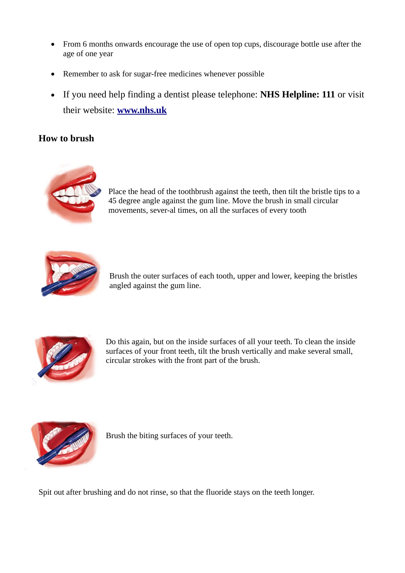- From 6 months onwards encourage the use of open top cups, discourage bottle use after the age of one year
- Remember to ask for sugar-free medicines whenever possible
- If you need help finding a dentist please telephone: **NHS Helpline: 111** or visit their website: **[www.nhs.uk](http://www.nhs.uk/)**

#### **How to brush**



Place the head of the toothbrush against the teeth, then tilt the bristle tips to a 45 degree angle against the gum line. Move the brush in small circular movements, sever-al times, on all the surfaces of every tooth



Brush the outer surfaces of each tooth, upper and lower, keeping the bristles angled against the gum line.



Do this again, but on the inside surfaces of all your teeth. To clean the inside surfaces of your front teeth, tilt the brush vertically and make several small, circular strokes with the front part of the brush.



Brush the biting surfaces of your teeth.

Spit out after brushing and do not rinse, so that the fluoride stays on the teeth longer.